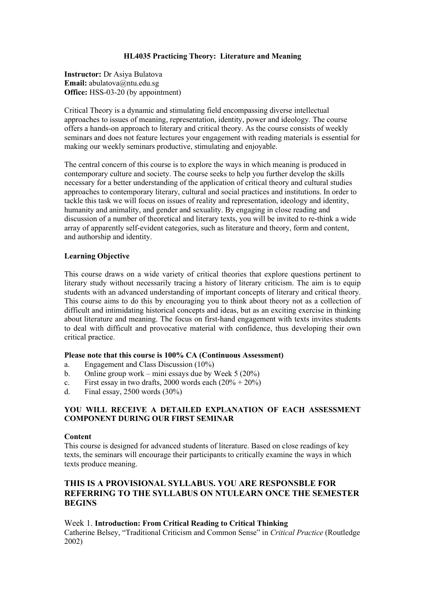#### **HL4035 Practicing Theory: Literature and Meaning**

**Instructor:** Dr Asiya Bulatova **Email:** abulatova@ntu.edu.sg **Office:** HSS-03-20 (by appointment)

Critical Theory is a dynamic and stimulating field encompassing diverse intellectual approaches to issues of meaning, representation, identity, power and ideology. The course offers a hands-on approach to literary and critical theory. As the course consists of weekly seminars and does not feature lectures your engagement with reading materials is essential for making our weekly seminars productive, stimulating and enjoyable.

The central concern of this course is to explore the ways in which meaning is produced in contemporary culture and society. The course seeks to help you further develop the skills necessary for a better understanding of the application of critical theory and cultural studies approaches to contemporary literary, cultural and social practices and institutions. In order to tackle this task we will focus on issues of reality and representation, ideology and identity, humanity and animality, and gender and sexuality. By engaging in close reading and discussion of a number of theoretical and literary texts, you will be invited to re-think a wide array of apparently self-evident categories, such as literature and theory, form and content, and authorship and identity.

#### **Learning Objective**

This course draws on a wide variety of critical theories that explore questions pertinent to literary study without necessarily tracing a history of literary criticism. The aim is to equip students with an advanced understanding of important concepts of literary and critical theory. This course aims to do this by encouraging you to think about theory not as a collection of difficult and intimidating historical concepts and ideas, but as an exciting exercise in thinking about literature and meaning. The focus on first-hand engagement with texts invites students to deal with difficult and provocative material with confidence, thus developing their own critical practice.

#### **Please note that this course is 100% CA (Continuous Assessment)**

- a. Engagement and Class Discussion (10%)
- b. Online group work mini essays due by Week 5 (20%)
- c. First essay in two drafts, 2000 words each  $(20\% + 20\%)$
- d. Final essay, 2500 words (30%)

## **YOU WILL RECEIVE A DETAILED EXPLANATION OF EACH ASSESSMENT COMPONENT DURING OUR FIRST SEMINAR**

#### **Content**

This course is designed for advanced students of literature. Based on close readings of key texts, the seminars will encourage their participants to critically examine the ways in which texts produce meaning.

# **THIS IS A PROVISIONAL SYLLABUS. YOU ARE RESPONSBLE FOR REFERRING TO THE SYLLABUS ON NTULEARN ONCE THE SEMESTER BEGINS**

Week 1. **Introduction: From Critical Reading to Critical Thinking**  Catherine Belsey, "Traditional Criticism and Common Sense" in *Critical Practice* (Routledge 2002)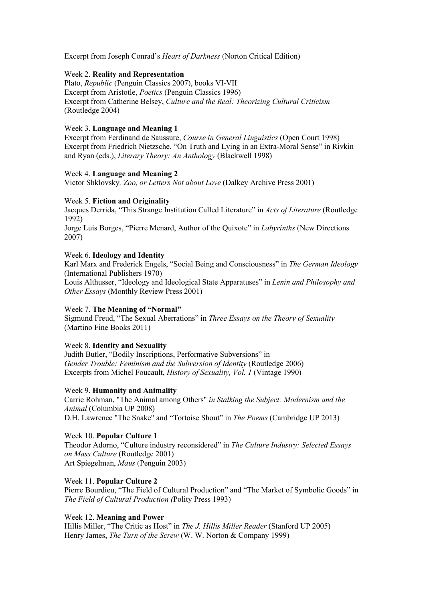Excerpt from Joseph Conrad's *Heart of Darkness* (Norton Critical Edition)

#### Week 2. **Reality and Representation**

Plato, *Republic* (Penguin Classics 2007), books VI-VII Excerpt from Aristotle, *Poetics* (Penguin Classics 1996) Excerpt from Catherine Belsey, *Culture and the Real: Theorizing Cultural Criticism* (Routledge 2004)

## Week 3. **Language and Meaning 1**

Excerpt from Ferdinand de Saussure, *Course in General Linguistics* (Open Court 1998) Excerpt from Friedrich Nietzsche, "On Truth and Lying in an Extra-Moral Sense" in Rivkin and Ryan (eds.), *Literary Theory: An Anthology* (Blackwell 1998)

## Week 4. **Language and Meaning 2**

Victor Shklovsky*, Zoo, or Letters Not about Love* (Dalkey Archive Press 2001)

## Week 5. **Fiction and Originality**

Jacques Derrida, "This Strange Institution Called Literature" in *Acts of Literature* (Routledge 1992)

Jorge Luis Borges, "Pierre Menard, Author of the Quixote" in *Labyrinths* (New Directions 2007)

## Week 6. **Ideology and Identity**

Karl Marx and Frederick Engels, "Social Being and Consciousness" in *The German Ideology* (International Publishers 1970)

Louis Althusser, "Ideology and Ideological State Apparatuses" in *Lenin and Philosophy and Other Essays* (Monthly Review Press 2001)

# Week 7. **The Meaning of "Normal"**

Sigmund Freud, "The Sexual Aberrations" in *Three Essays on the Theory of Sexuality* (Martino Fine Books 2011)

# Week 8. **Identity and Sexuality**

Judith Butler, "Bodily Inscriptions, Performative Subversions" in *Gender Trouble: Feminism and the Subversion of Identity (Routledge 2006)* Excerpts from Michel Foucault, *History of Sexuality, Vol. 1* (Vintage 1990)

# Week 9. **Humanity and Animality**

Carrie Rohman, "The Animal among Others" *in Stalking the Subject: Modernism and the Animal* (Columbia UP 2008) D.H. Lawrence "The Snake" and "Tortoise Shout" in *The Poems* (Cambridge UP 2013)

# Week 10. **Popular Culture 1**

Theodor Adorno, "Culture industry reconsidered" in *The Culture Industry: Selected Essays on Mass Culture* (Routledge 2001) Art Spiegelman, *Maus* (Penguin 2003)

# Week 11. **Popular Culture 2**

Pierre Bourdieu, "The Field of Cultural Production" and "The Market of Symbolic Goods" in *The Field of Cultural Production (*Polity Press 1993)

# Week 12. **Meaning and Power**

Hillis Miller, "The Critic as Host" in *The J. Hillis Miller Reader* (Stanford UP 2005) Henry James, *The Turn of the Screw* (W. W. Norton & Company 1999)